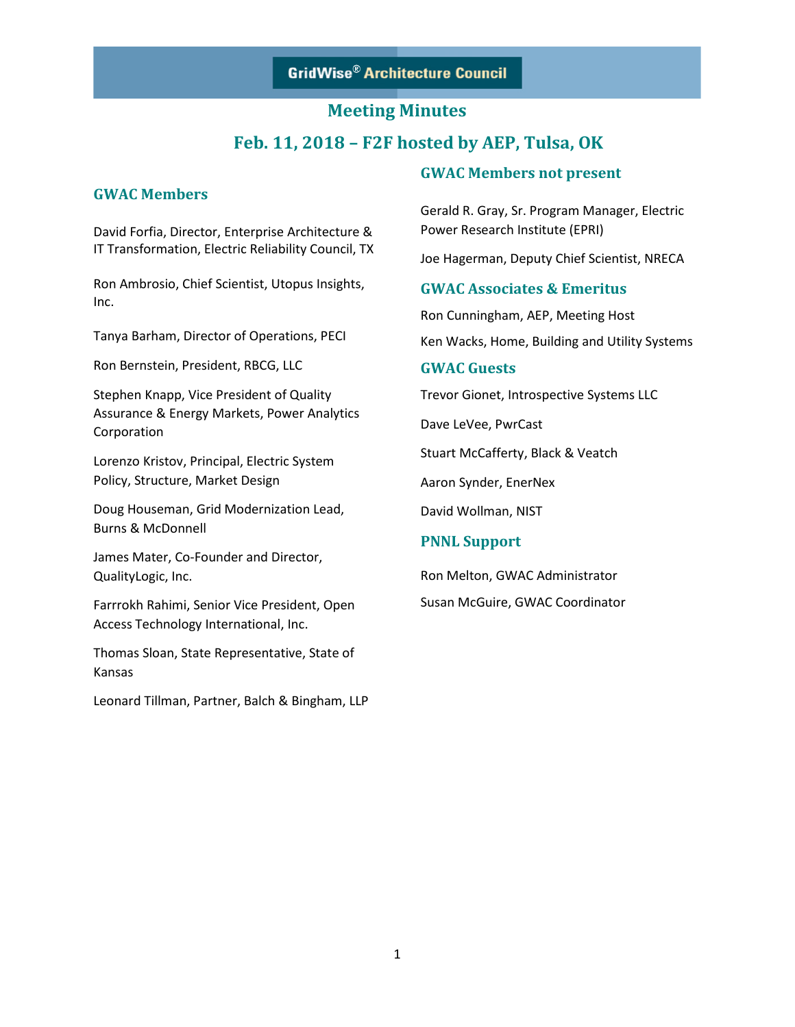## **Meeting Minutes**

## **Feb. 11, 2018 – F2F hosted by AEP, Tulsa, OK**

### **GWAC Members**

David Forfia, Director, Enterprise Architecture & IT Transformation, Electric Reliability Council, TX

Ron Ambrosio, Chief Scientist, Utopus Insights, Inc.

Tanya Barham, Director of Operations, PECI

Ron Bernstein, President, RBCG, LLC

Stephen Knapp, Vice President of Quality Assurance & Energy Markets, Power Analytics Corporation

Lorenzo Kristov, Principal, Electric System Policy, Structure, Market Design

Doug Houseman, Grid Modernization Lead, Burns & McDonnell

James Mater, Co-Founder and Director, QualityLogic, Inc.

Farrrokh Rahimi, Senior Vice President, Open Access Technology International, Inc.

Thomas Sloan, State Representative, State of Kansas

Leonard Tillman, Partner, Balch & Bingham, LLP

### **GWAC Members not present**

Gerald R. Gray, Sr. Program Manager, Electric Power Research Institute (EPRI)

Joe Hagerman, Deputy Chief Scientist, NRECA

### **GWAC Associates & Emeritus**

Ron Cunningham, AEP, Meeting Host

Ken Wacks, Home, Building and Utility Systems

### **GWAC Guests**

Trevor Gionet, Introspective Systems LLC

Dave LeVee, PwrCast

Stuart McCafferty, Black & Veatch

Aaron Synder, EnerNex

David Wollman, NIST

### **PNNL Support**

Ron Melton, GWAC Administrator

Susan McGuire, GWAC Coordinator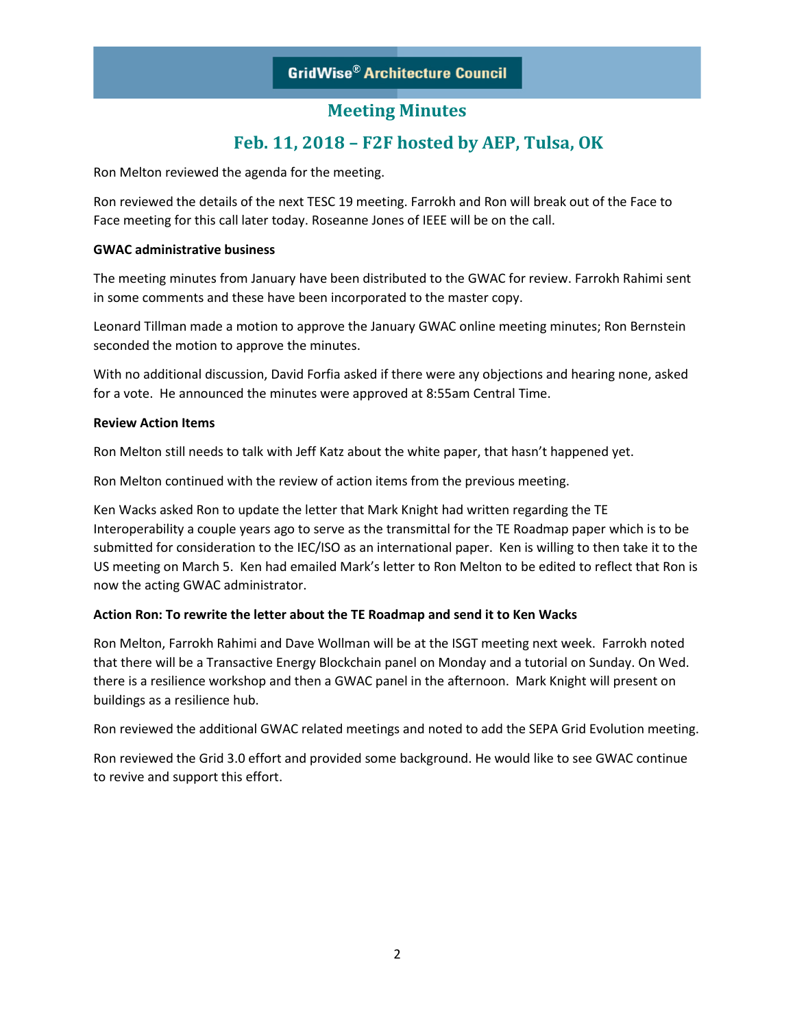# **Feb. 11, 2018 – F2F hosted by AEP, Tulsa, OK**

Ron Melton reviewed the agenda for the meeting.

Ron reviewed the details of the next TESC 19 meeting. Farrokh and Ron will break out of the Face to Face meeting for this call later today. Roseanne Jones of IEEE will be on the call.

### **GWAC administrative business**

The meeting minutes from January have been distributed to the GWAC for review. Farrokh Rahimi sent in some comments and these have been incorporated to the master copy.

Leonard Tillman made a motion to approve the January GWAC online meeting minutes; Ron Bernstein seconded the motion to approve the minutes.

With no additional discussion, David Forfia asked if there were any objections and hearing none, asked for a vote. He announced the minutes were approved at 8:55am Central Time.

### **Review Action Items**

Ron Melton still needs to talk with Jeff Katz about the white paper, that hasn't happened yet.

Ron Melton continued with the review of action items from the previous meeting.

Ken Wacks asked Ron to update the letter that Mark Knight had written regarding the TE Interoperability a couple years ago to serve as the transmittal for the TE Roadmap paper which is to be submitted for consideration to the IEC/ISO as an international paper. Ken is willing to then take it to the US meeting on March 5. Ken had emailed Mark's letter to Ron Melton to be edited to reflect that Ron is now the acting GWAC administrator.

### **Action Ron: To rewrite the letter about the TE Roadmap and send it to Ken Wacks**

Ron Melton, Farrokh Rahimi and Dave Wollman will be at the ISGT meeting next week. Farrokh noted that there will be a Transactive Energy Blockchain panel on Monday and a tutorial on Sunday. On Wed. there is a resilience workshop and then a GWAC panel in the afternoon. Mark Knight will present on buildings as a resilience hub.

Ron reviewed the additional GWAC related meetings and noted to add the SEPA Grid Evolution meeting.

Ron reviewed the Grid 3.0 effort and provided some background. He would like to see GWAC continue to revive and support this effort.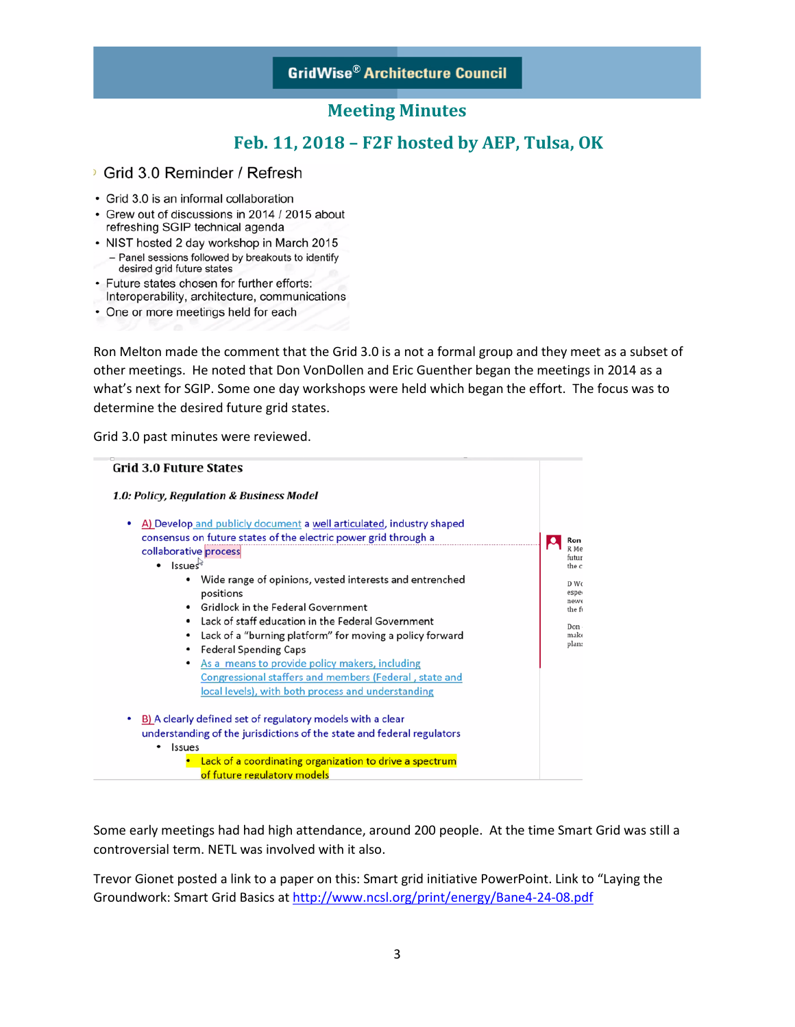## **Feb. 11, 2018 – F2F hosted by AEP, Tulsa, OK**

### Grid 3.0 Reminder / Refresh

- Grid 3.0 is an informal collaboration
- Grew out of discussions in 2014 / 2015 about refreshing SGIP technical agenda
- NIST hosted 2 day workshop in March 2015 - Panel sessions followed by breakouts to identify
- desired grid future states
- Future states chosen for further efforts: Interoperability, architecture, communications
- One or more meetings held for each

Ron Melton made the comment that the Grid 3.0 is a not a formal group and they meet as a subset of other meetings. He noted that Don VonDollen and Eric Guenther began the meetings in 2014 as a what's next for SGIP. Some one day workshops were held which began the effort. The focus was to determine the desired future grid states.

Grid 3.0 past minutes were reviewed.



Some early meetings had had high attendance, around 200 people. At the time Smart Grid was still a controversial term. NETL was involved with it also.

Trevor Gionet posted a link to a paper on this: Smart grid initiative PowerPoint. Link to "Laying the Groundwork: Smart Grid Basics a[t http://www.ncsl.org/print/energy/Bane4-24-08.pdf](http://www.ncsl.org/print/energy/Bane4-24-08.pdf)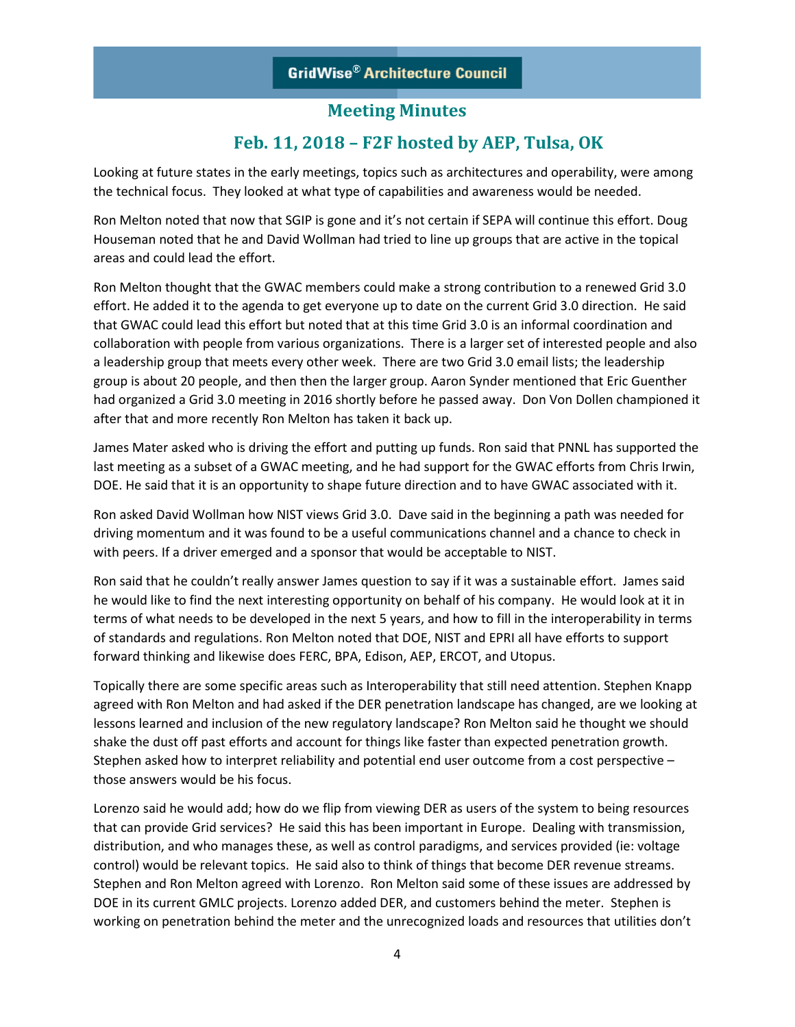## **Feb. 11, 2018 – F2F hosted by AEP, Tulsa, OK**

Looking at future states in the early meetings, topics such as architectures and operability, were among the technical focus. They looked at what type of capabilities and awareness would be needed.

Ron Melton noted that now that SGIP is gone and it's not certain if SEPA will continue this effort. Doug Houseman noted that he and David Wollman had tried to line up groups that are active in the topical areas and could lead the effort.

Ron Melton thought that the GWAC members could make a strong contribution to a renewed Grid 3.0 effort. He added it to the agenda to get everyone up to date on the current Grid 3.0 direction. He said that GWAC could lead this effort but noted that at this time Grid 3.0 is an informal coordination and collaboration with people from various organizations. There is a larger set of interested people and also a leadership group that meets every other week. There are two Grid 3.0 email lists; the leadership group is about 20 people, and then then the larger group. Aaron Synder mentioned that Eric Guenther had organized a Grid 3.0 meeting in 2016 shortly before he passed away. Don Von Dollen championed it after that and more recently Ron Melton has taken it back up.

James Mater asked who is driving the effort and putting up funds. Ron said that PNNL has supported the last meeting as a subset of a GWAC meeting, and he had support for the GWAC efforts from Chris Irwin, DOE. He said that it is an opportunity to shape future direction and to have GWAC associated with it.

Ron asked David Wollman how NIST views Grid 3.0. Dave said in the beginning a path was needed for driving momentum and it was found to be a useful communications channel and a chance to check in with peers. If a driver emerged and a sponsor that would be acceptable to NIST.

Ron said that he couldn't really answer James question to say if it was a sustainable effort. James said he would like to find the next interesting opportunity on behalf of his company. He would look at it in terms of what needs to be developed in the next 5 years, and how to fill in the interoperability in terms of standards and regulations. Ron Melton noted that DOE, NIST and EPRI all have efforts to support forward thinking and likewise does FERC, BPA, Edison, AEP, ERCOT, and Utopus.

Topically there are some specific areas such as Interoperability that still need attention. Stephen Knapp agreed with Ron Melton and had asked if the DER penetration landscape has changed, are we looking at lessons learned and inclusion of the new regulatory landscape? Ron Melton said he thought we should shake the dust off past efforts and account for things like faster than expected penetration growth. Stephen asked how to interpret reliability and potential end user outcome from a cost perspective – those answers would be his focus.

Lorenzo said he would add; how do we flip from viewing DER as users of the system to being resources that can provide Grid services? He said this has been important in Europe. Dealing with transmission, distribution, and who manages these, as well as control paradigms, and services provided (ie: voltage control) would be relevant topics. He said also to think of things that become DER revenue streams. Stephen and Ron Melton agreed with Lorenzo. Ron Melton said some of these issues are addressed by DOE in its current GMLC projects. Lorenzo added DER, and customers behind the meter. Stephen is working on penetration behind the meter and the unrecognized loads and resources that utilities don't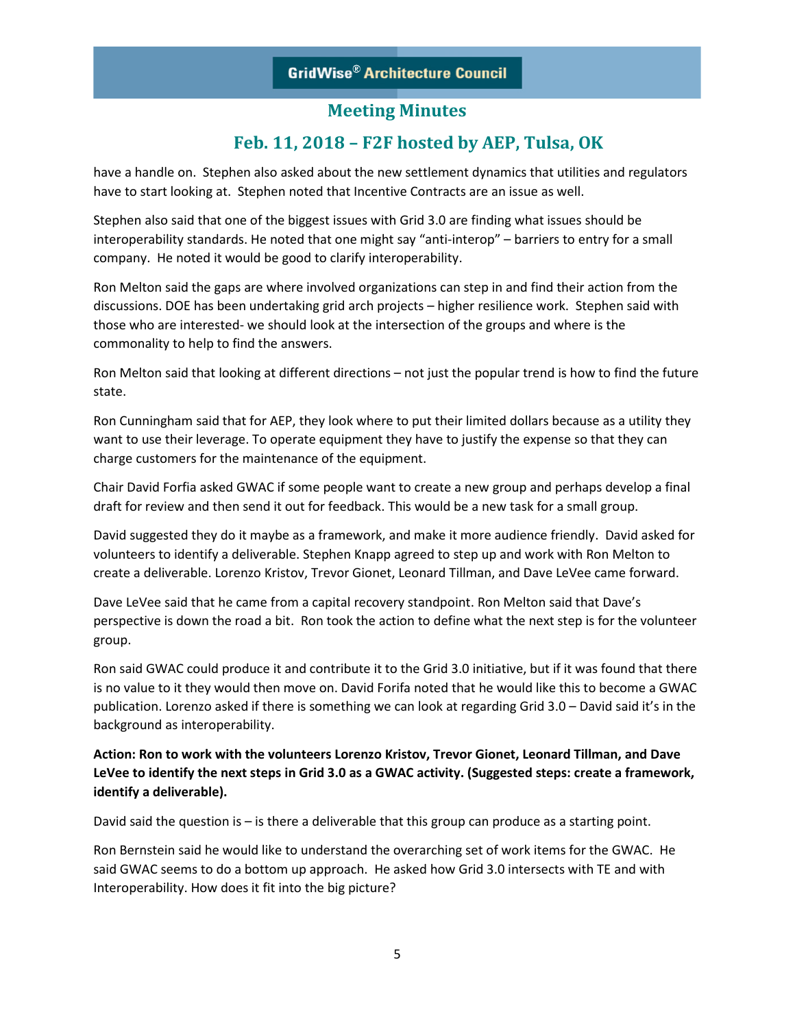## **Feb. 11, 2018 – F2F hosted by AEP, Tulsa, OK**

have a handle on. Stephen also asked about the new settlement dynamics that utilities and regulators have to start looking at. Stephen noted that Incentive Contracts are an issue as well.

Stephen also said that one of the biggest issues with Grid 3.0 are finding what issues should be interoperability standards. He noted that one might say "anti-interop" – barriers to entry for a small company. He noted it would be good to clarify interoperability.

Ron Melton said the gaps are where involved organizations can step in and find their action from the discussions. DOE has been undertaking grid arch projects – higher resilience work. Stephen said with those who are interested- we should look at the intersection of the groups and where is the commonality to help to find the answers.

Ron Melton said that looking at different directions – not just the popular trend is how to find the future state.

Ron Cunningham said that for AEP, they look where to put their limited dollars because as a utility they want to use their leverage. To operate equipment they have to justify the expense so that they can charge customers for the maintenance of the equipment.

Chair David Forfia asked GWAC if some people want to create a new group and perhaps develop a final draft for review and then send it out for feedback. This would be a new task for a small group.

David suggested they do it maybe as a framework, and make it more audience friendly. David asked for volunteers to identify a deliverable. Stephen Knapp agreed to step up and work with Ron Melton to create a deliverable. Lorenzo Kristov, Trevor Gionet, Leonard Tillman, and Dave LeVee came forward.

Dave LeVee said that he came from a capital recovery standpoint. Ron Melton said that Dave's perspective is down the road a bit. Ron took the action to define what the next step is for the volunteer group.

Ron said GWAC could produce it and contribute it to the Grid 3.0 initiative, but if it was found that there is no value to it they would then move on. David Forifa noted that he would like this to become a GWAC publication. Lorenzo asked if there is something we can look at regarding Grid 3.0 – David said it's in the background as interoperability.

**Action: Ron to work with the volunteers Lorenzo Kristov, Trevor Gionet, Leonard Tillman, and Dave LeVee to identify the next steps in Grid 3.0 as a GWAC activity. (Suggested steps: create a framework, identify a deliverable).**

David said the question is – is there a deliverable that this group can produce as a starting point.

Ron Bernstein said he would like to understand the overarching set of work items for the GWAC. He said GWAC seems to do a bottom up approach. He asked how Grid 3.0 intersects with TE and with Interoperability. How does it fit into the big picture?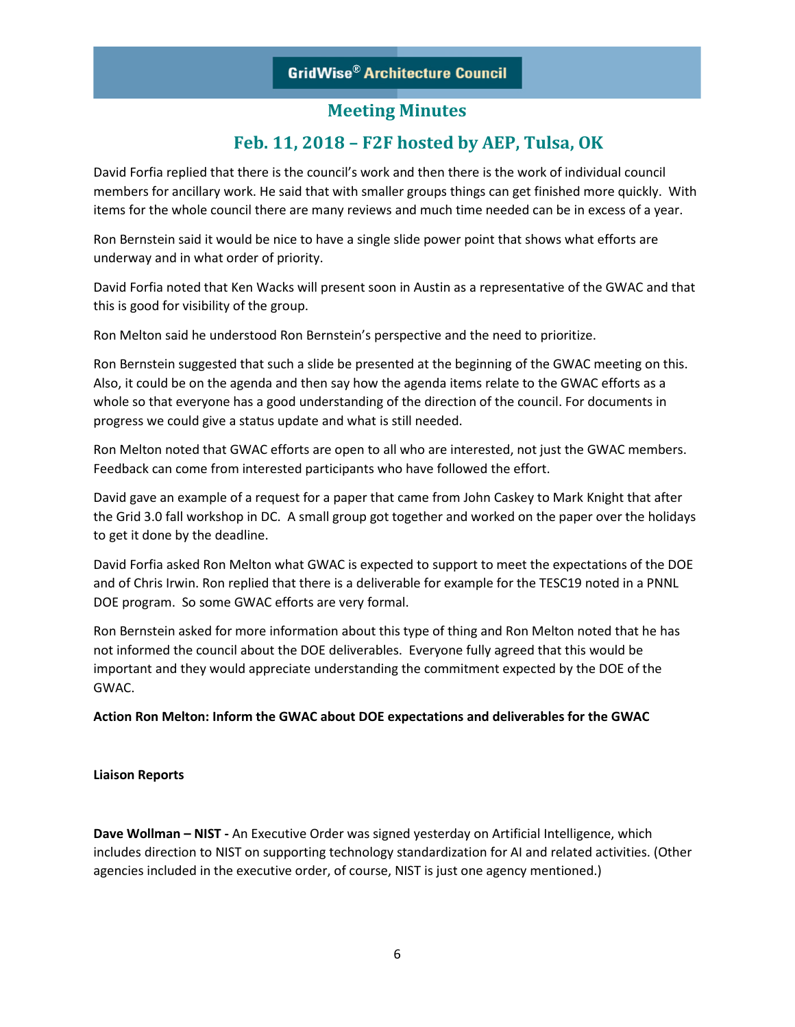## **Feb. 11, 2018 – F2F hosted by AEP, Tulsa, OK**

David Forfia replied that there is the council's work and then there is the work of individual council members for ancillary work. He said that with smaller groups things can get finished more quickly. With items for the whole council there are many reviews and much time needed can be in excess of a year.

Ron Bernstein said it would be nice to have a single slide power point that shows what efforts are underway and in what order of priority.

David Forfia noted that Ken Wacks will present soon in Austin as a representative of the GWAC and that this is good for visibility of the group.

Ron Melton said he understood Ron Bernstein's perspective and the need to prioritize.

Ron Bernstein suggested that such a slide be presented at the beginning of the GWAC meeting on this. Also, it could be on the agenda and then say how the agenda items relate to the GWAC efforts as a whole so that everyone has a good understanding of the direction of the council. For documents in progress we could give a status update and what is still needed.

Ron Melton noted that GWAC efforts are open to all who are interested, not just the GWAC members. Feedback can come from interested participants who have followed the effort.

David gave an example of a request for a paper that came from John Caskey to Mark Knight that after the Grid 3.0 fall workshop in DC. A small group got together and worked on the paper over the holidays to get it done by the deadline.

David Forfia asked Ron Melton what GWAC is expected to support to meet the expectations of the DOE and of Chris Irwin. Ron replied that there is a deliverable for example for the TESC19 noted in a PNNL DOE program. So some GWAC efforts are very formal.

Ron Bernstein asked for more information about this type of thing and Ron Melton noted that he has not informed the council about the DOE deliverables. Everyone fully agreed that this would be important and they would appreciate understanding the commitment expected by the DOE of the GWAC.

**Action Ron Melton: Inform the GWAC about DOE expectations and deliverables for the GWAC**

#### **Liaison Reports**

**Dave Wollman – NIST -** An Executive Order was signed yesterday on Artificial Intelligence, which includes direction to NIST on supporting technology standardization for AI and related activities. (Other agencies included in the executive order, of course, NIST is just one agency mentioned.)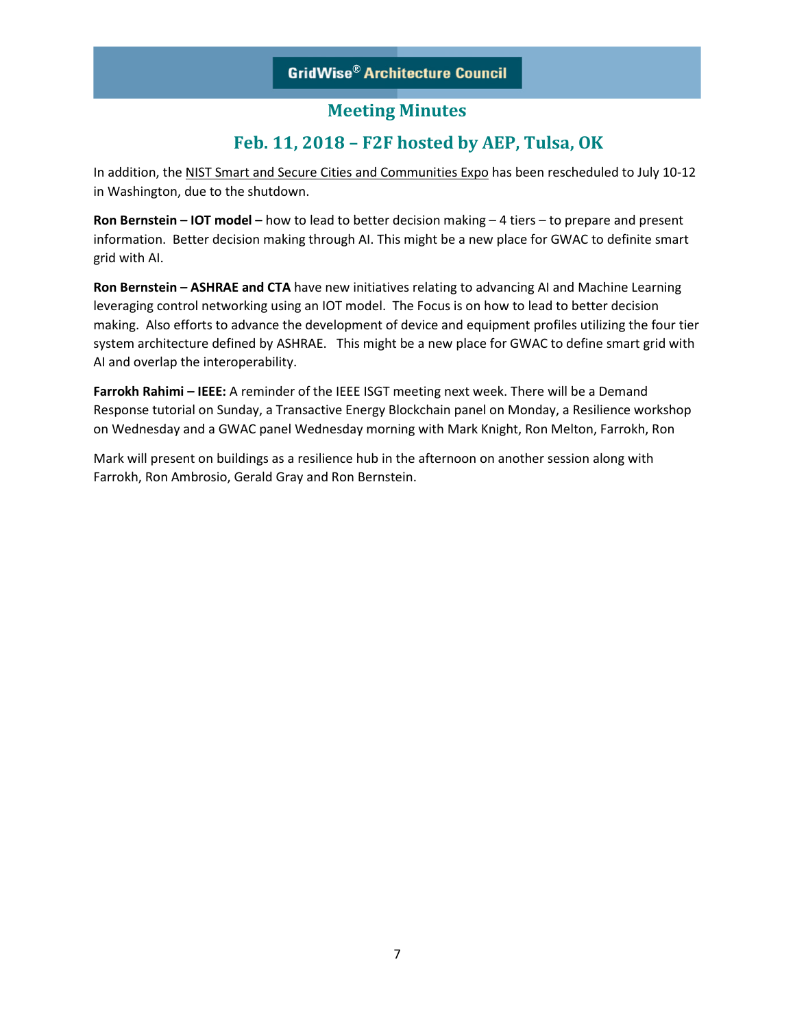## **Feb. 11, 2018 – F2F hosted by AEP, Tulsa, OK**

In addition, the NIST Smart and Secure Cities and Communities Expo has been rescheduled to July 10-12 in Washington, due to the shutdown.

**Ron Bernstein – IOT model –** how to lead to better decision making – 4 tiers – to prepare and present information. Better decision making through AI. This might be a new place for GWAC to definite smart grid with AI.

**Ron Bernstein – ASHRAE and CTA** have new initiatives relating to advancing AI and Machine Learning leveraging control networking using an IOT model. The Focus is on how to lead to better decision making. Also efforts to advance the development of device and equipment profiles utilizing the four tier system architecture defined by ASHRAE. This might be a new place for GWAC to define smart grid with AI and overlap the interoperability.

**Farrokh Rahimi – IEEE:** A reminder of the IEEE ISGT meeting next week. There will be a Demand Response tutorial on Sunday, a Transactive Energy Blockchain panel on Monday, a Resilience workshop on Wednesday and a GWAC panel Wednesday morning with Mark Knight, Ron Melton, Farrokh, Ron

Mark will present on buildings as a resilience hub in the afternoon on another session along with Farrokh, Ron Ambrosio, Gerald Gray and Ron Bernstein.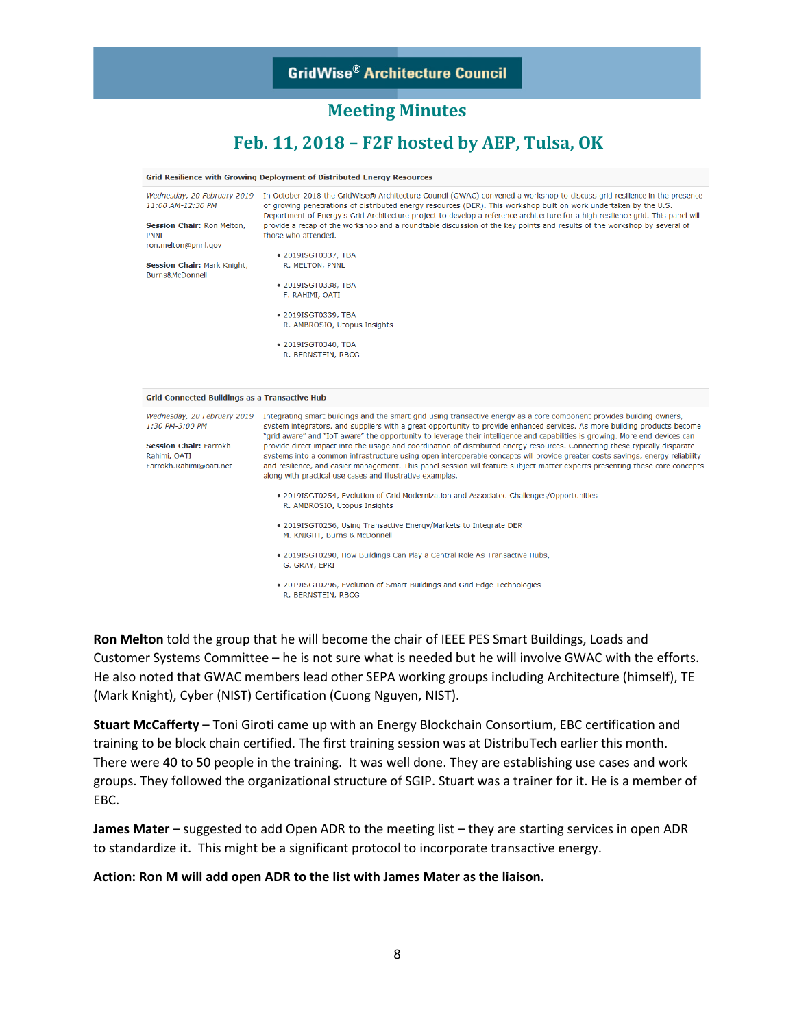## **Meeting Minutes**

## **Feb. 11, 2018 – F2F hosted by AEP, Tulsa, OK**

|                                                                                                                                                                               | Grid Resilience with Growing Deployment of Distributed Energy Resources                                                                                                                                                                                                                                                                                                                                                                                                                                                                                                                                                                                                                                                                                                                                                                                                                                                                                                                                                                                                          |  |  |  |  |  |  |
|-------------------------------------------------------------------------------------------------------------------------------------------------------------------------------|----------------------------------------------------------------------------------------------------------------------------------------------------------------------------------------------------------------------------------------------------------------------------------------------------------------------------------------------------------------------------------------------------------------------------------------------------------------------------------------------------------------------------------------------------------------------------------------------------------------------------------------------------------------------------------------------------------------------------------------------------------------------------------------------------------------------------------------------------------------------------------------------------------------------------------------------------------------------------------------------------------------------------------------------------------------------------------|--|--|--|--|--|--|
| Wednesday, 20 February 2019<br>11:00 AM-12:30 PM<br>Session Chair: Ron Melton,<br><b>PNNL</b><br>ron.melton@pnnl.gov<br><b>Session Chair: Mark Knight,</b><br>Burns&McDonnell | In October 2018 the GridWise® Architecture Council (GWAC) convened a workshop to discuss grid resilience in the presence<br>of growing penetrations of distributed energy resources (DER). This workshop built on work undertaken by the U.S.<br>Department of Energy's Grid Architecture project to develop a reference architecture for a high resilience grid. This panel will<br>provide a recap of the workshop and a roundtable discussion of the key points and results of the workshop by several of<br>those who attended.<br>• 2019ISGT0337, TBA<br>R. MELTON, PNNL<br>• 2019ISGT0338, TBA<br>F. RAHIMI, OATI<br>• 2019ISGT0339, TBA<br>R. AMBROSIO, Utopus Insights<br>• 2019ISGT0340, TBA<br>R. BERNSTEIN, RBCG                                                                                                                                                                                                                                                                                                                                                      |  |  |  |  |  |  |
| <b>Grid Connected Buildings as a Transactive Hub</b>                                                                                                                          |                                                                                                                                                                                                                                                                                                                                                                                                                                                                                                                                                                                                                                                                                                                                                                                                                                                                                                                                                                                                                                                                                  |  |  |  |  |  |  |
| Wednesday, 20 February 2019<br>1:30 PM-3:00 PM<br><b>Session Chair: Farrokh</b><br>Rahimi, OATI<br>Farrokh.Rahimi@oati.net                                                    | Integrating smart buildings and the smart grid using transactive energy as a core component provides building owners,<br>system integrators, and suppliers with a great opportunity to provide enhanced services. As more building products become<br>"grid aware" and "IoT aware" the opportunity to leverage their intelligence and capabilities is growing. More end devices can<br>provide direct impact into the usage and coordination of distributed energy resources. Connecting these typically disparate<br>systems into a common infrastructure using open interoperable concepts will provide greater costs savings, energy reliability<br>and resilience, and easier management. This panel session will feature subject matter experts presenting these core concepts<br>along with practical use cases and illustrative examples.<br>. 2019ISGT0254, Evolution of Grid Modernization and Associated Challenges/Opportunities<br>R. AMBROSIO, Utopus Insights<br>. 2019ISGT0256, Using Transactive Energy/Markets to Integrate DER<br>M. KNIGHT, Burns & McDonnell |  |  |  |  |  |  |
|                                                                                                                                                                               | . 2019ISGT0290, How Buildings Can Play a Central Role As Transactive Hubs,<br>G. GRAY, EPRI<br>• 2019ISGT0296, Evolution of Smart Buildings and Grid Edge Technologies<br>R. BERNSTEIN, RBCG                                                                                                                                                                                                                                                                                                                                                                                                                                                                                                                                                                                                                                                                                                                                                                                                                                                                                     |  |  |  |  |  |  |

**Ron Melton** told the group that he will become the chair of IEEE PES Smart Buildings, Loads and Customer Systems Committee – he is not sure what is needed but he will involve GWAC with the efforts. He also noted that GWAC members lead other SEPA working groups including Architecture (himself), TE (Mark Knight), Cyber (NIST) Certification (Cuong Nguyen, NIST).

**Stuart McCafferty** – Toni Giroti came up with an Energy Blockchain Consortium, EBC certification and training to be block chain certified. The first training session was at DistribuTech earlier this month. There were 40 to 50 people in the training. It was well done. They are establishing use cases and work groups. They followed the organizational structure of SGIP. Stuart was a trainer for it. He is a member of EBC.

**James Mater** – suggested to add Open ADR to the meeting list – they are starting services in open ADR to standardize it. This might be a significant protocol to incorporate transactive energy.

#### **Action: Ron M will add open ADR to the list with James Mater as the liaison.**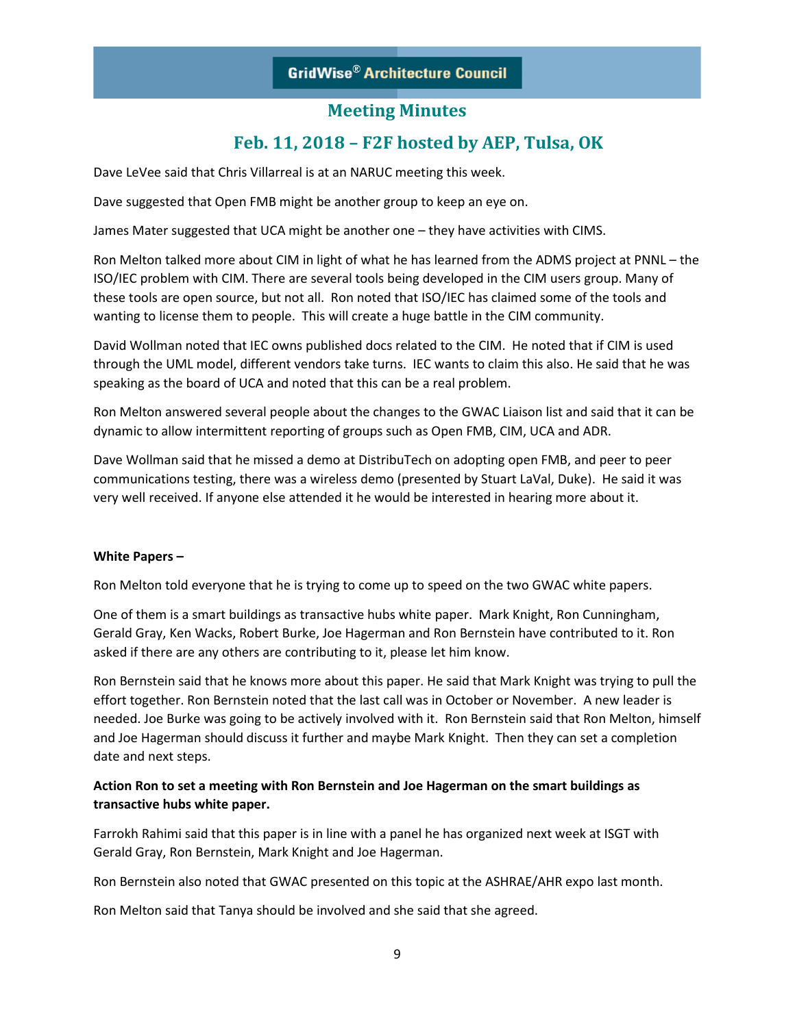## **Meeting Minutes**

## **Feb. 11, 2018 – F2F hosted by AEP, Tulsa, OK**

Dave LeVee said that Chris Villarreal is at an NARUC meeting this week.

Dave suggested that Open FMB might be another group to keep an eye on.

James Mater suggested that UCA might be another one – they have activities with CIMS.

Ron Melton talked more about CIM in light of what he has learned from the ADMS project at PNNL – the ISO/IEC problem with CIM. There are several tools being developed in the CIM users group. Many of these tools are open source, but not all. Ron noted that ISO/IEC has claimed some of the tools and wanting to license them to people. This will create a huge battle in the CIM community.

David Wollman noted that IEC owns published docs related to the CIM. He noted that if CIM is used through the UML model, different vendors take turns. IEC wants to claim this also. He said that he was speaking as the board of UCA and noted that this can be a real problem.

Ron Melton answered several people about the changes to the GWAC Liaison list and said that it can be dynamic to allow intermittent reporting of groups such as Open FMB, CIM, UCA and ADR.

Dave Wollman said that he missed a demo at DistribuTech on adopting open FMB, and peer to peer communications testing, there was a wireless demo (presented by Stuart LaVal, Duke). He said it was very well received. If anyone else attended it he would be interested in hearing more about it.

#### **White Papers –**

Ron Melton told everyone that he is trying to come up to speed on the two GWAC white papers.

One of them is a smart buildings as transactive hubs white paper. Mark Knight, Ron Cunningham, Gerald Gray, Ken Wacks, Robert Burke, Joe Hagerman and Ron Bernstein have contributed to it. Ron asked if there are any others are contributing to it, please let him know.

Ron Bernstein said that he knows more about this paper. He said that Mark Knight was trying to pull the effort together. Ron Bernstein noted that the last call was in October or November. A new leader is needed. Joe Burke was going to be actively involved with it. Ron Bernstein said that Ron Melton, himself and Joe Hagerman should discuss it further and maybe Mark Knight. Then they can set a completion date and next steps.

### **Action Ron to set a meeting with Ron Bernstein and Joe Hagerman on the smart buildings as transactive hubs white paper.**

Farrokh Rahimi said that this paper is in line with a panel he has organized next week at ISGT with Gerald Gray, Ron Bernstein, Mark Knight and Joe Hagerman.

Ron Bernstein also noted that GWAC presented on this topic at the ASHRAE/AHR expo last month.

Ron Melton said that Tanya should be involved and she said that she agreed.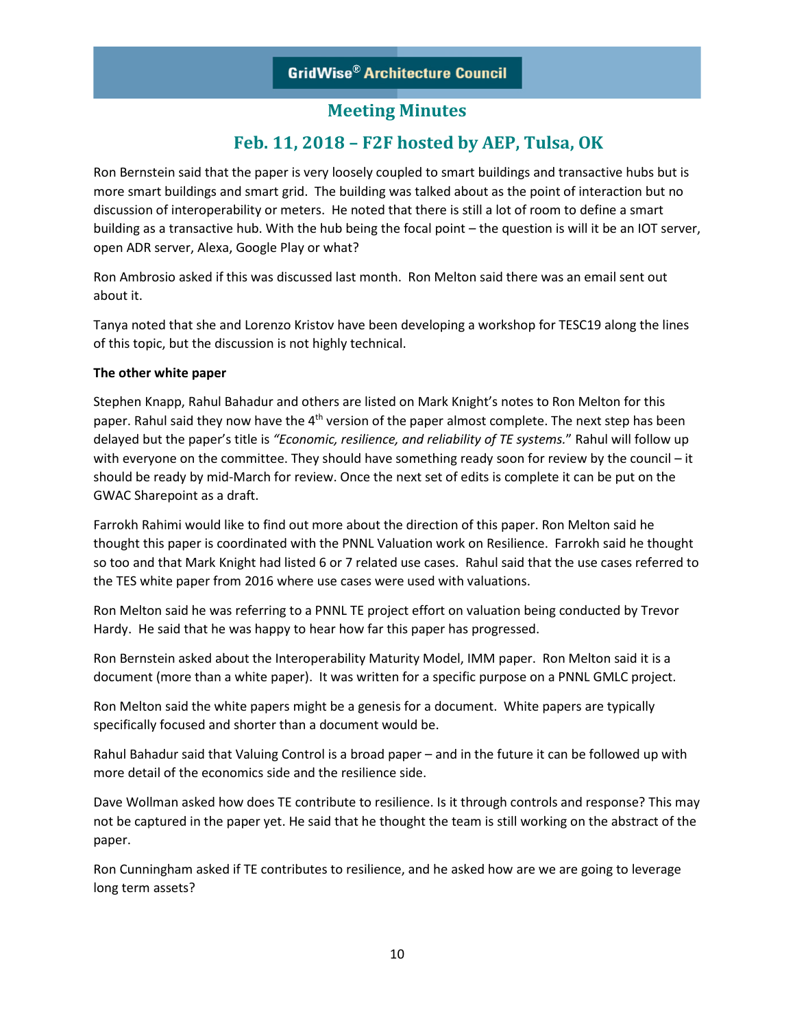## **Feb. 11, 2018 – F2F hosted by AEP, Tulsa, OK**

Ron Bernstein said that the paper is very loosely coupled to smart buildings and transactive hubs but is more smart buildings and smart grid. The building was talked about as the point of interaction but no discussion of interoperability or meters. He noted that there is still a lot of room to define a smart building as a transactive hub. With the hub being the focal point – the question is will it be an IOT server, open ADR server, Alexa, Google Play or what?

Ron Ambrosio asked if this was discussed last month. Ron Melton said there was an email sent out about it.

Tanya noted that she and Lorenzo Kristov have been developing a workshop for TESC19 along the lines of this topic, but the discussion is not highly technical.

### **The other white paper**

Stephen Knapp, Rahul Bahadur and others are listed on Mark Knight's notes to Ron Melton for this paper. Rahul said they now have the  $4<sup>th</sup>$  version of the paper almost complete. The next step has been delayed but the paper's title is *"Economic, resilience, and reliability of TE systems.*" Rahul will follow up with everyone on the committee. They should have something ready soon for review by the council – it should be ready by mid-March for review. Once the next set of edits is complete it can be put on the GWAC Sharepoint as a draft.

Farrokh Rahimi would like to find out more about the direction of this paper. Ron Melton said he thought this paper is coordinated with the PNNL Valuation work on Resilience. Farrokh said he thought so too and that Mark Knight had listed 6 or 7 related use cases. Rahul said that the use cases referred to the TES white paper from 2016 where use cases were used with valuations.

Ron Melton said he was referring to a PNNL TE project effort on valuation being conducted by Trevor Hardy. He said that he was happy to hear how far this paper has progressed.

Ron Bernstein asked about the Interoperability Maturity Model, IMM paper. Ron Melton said it is a document (more than a white paper). It was written for a specific purpose on a PNNL GMLC project.

Ron Melton said the white papers might be a genesis for a document. White papers are typically specifically focused and shorter than a document would be.

Rahul Bahadur said that Valuing Control is a broad paper – and in the future it can be followed up with more detail of the economics side and the resilience side.

Dave Wollman asked how does TE contribute to resilience. Is it through controls and response? This may not be captured in the paper yet. He said that he thought the team is still working on the abstract of the paper.

Ron Cunningham asked if TE contributes to resilience, and he asked how are we are going to leverage long term assets?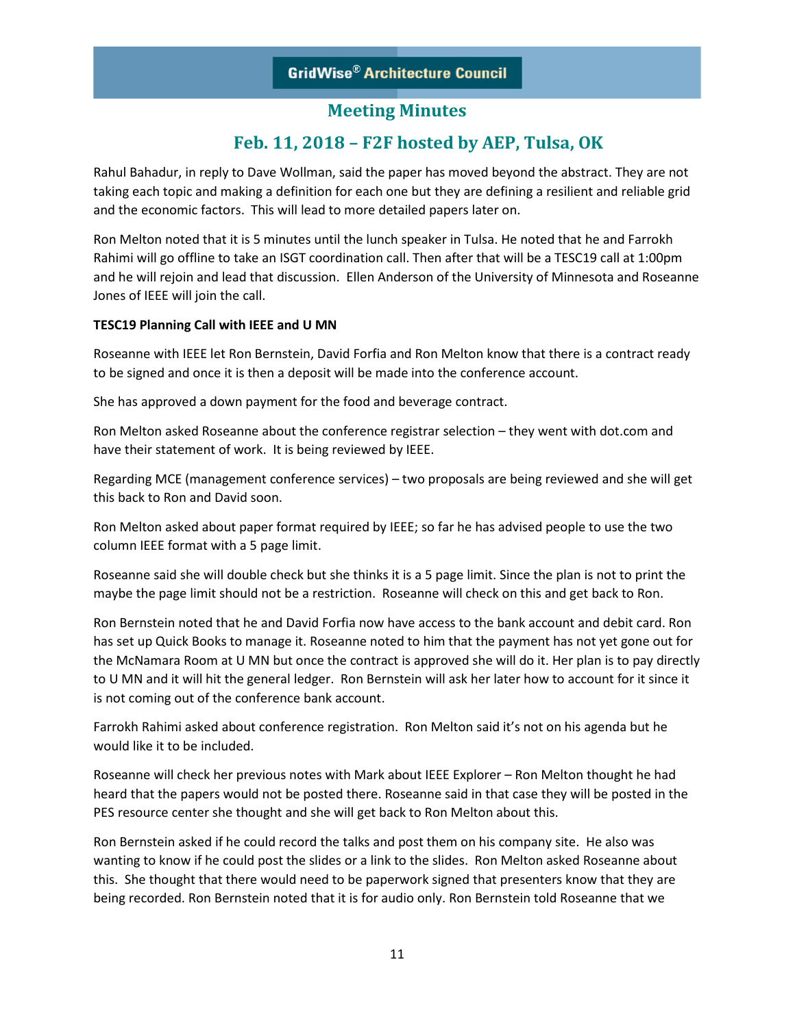## **Feb. 11, 2018 – F2F hosted by AEP, Tulsa, OK**

Rahul Bahadur, in reply to Dave Wollman, said the paper has moved beyond the abstract. They are not taking each topic and making a definition for each one but they are defining a resilient and reliable grid and the economic factors. This will lead to more detailed papers later on.

Ron Melton noted that it is 5 minutes until the lunch speaker in Tulsa. He noted that he and Farrokh Rahimi will go offline to take an ISGT coordination call. Then after that will be a TESC19 call at 1:00pm and he will rejoin and lead that discussion. Ellen Anderson of the University of Minnesota and Roseanne Jones of IEEE will join the call.

### **TESC19 Planning Call with IEEE and U MN**

Roseanne with IEEE let Ron Bernstein, David Forfia and Ron Melton know that there is a contract ready to be signed and once it is then a deposit will be made into the conference account.

She has approved a down payment for the food and beverage contract.

Ron Melton asked Roseanne about the conference registrar selection – they went with dot.com and have their statement of work. It is being reviewed by IEEE.

Regarding MCE (management conference services) – two proposals are being reviewed and she will get this back to Ron and David soon.

Ron Melton asked about paper format required by IEEE; so far he has advised people to use the two column IEEE format with a 5 page limit.

Roseanne said she will double check but she thinks it is a 5 page limit. Since the plan is not to print the maybe the page limit should not be a restriction. Roseanne will check on this and get back to Ron.

Ron Bernstein noted that he and David Forfia now have access to the bank account and debit card. Ron has set up Quick Books to manage it. Roseanne noted to him that the payment has not yet gone out for the McNamara Room at U MN but once the contract is approved she will do it. Her plan is to pay directly to U MN and it will hit the general ledger. Ron Bernstein will ask her later how to account for it since it is not coming out of the conference bank account.

Farrokh Rahimi asked about conference registration. Ron Melton said it's not on his agenda but he would like it to be included.

Roseanne will check her previous notes with Mark about IEEE Explorer – Ron Melton thought he had heard that the papers would not be posted there. Roseanne said in that case they will be posted in the PES resource center she thought and she will get back to Ron Melton about this.

Ron Bernstein asked if he could record the talks and post them on his company site. He also was wanting to know if he could post the slides or a link to the slides. Ron Melton asked Roseanne about this. She thought that there would need to be paperwork signed that presenters know that they are being recorded. Ron Bernstein noted that it is for audio only. Ron Bernstein told Roseanne that we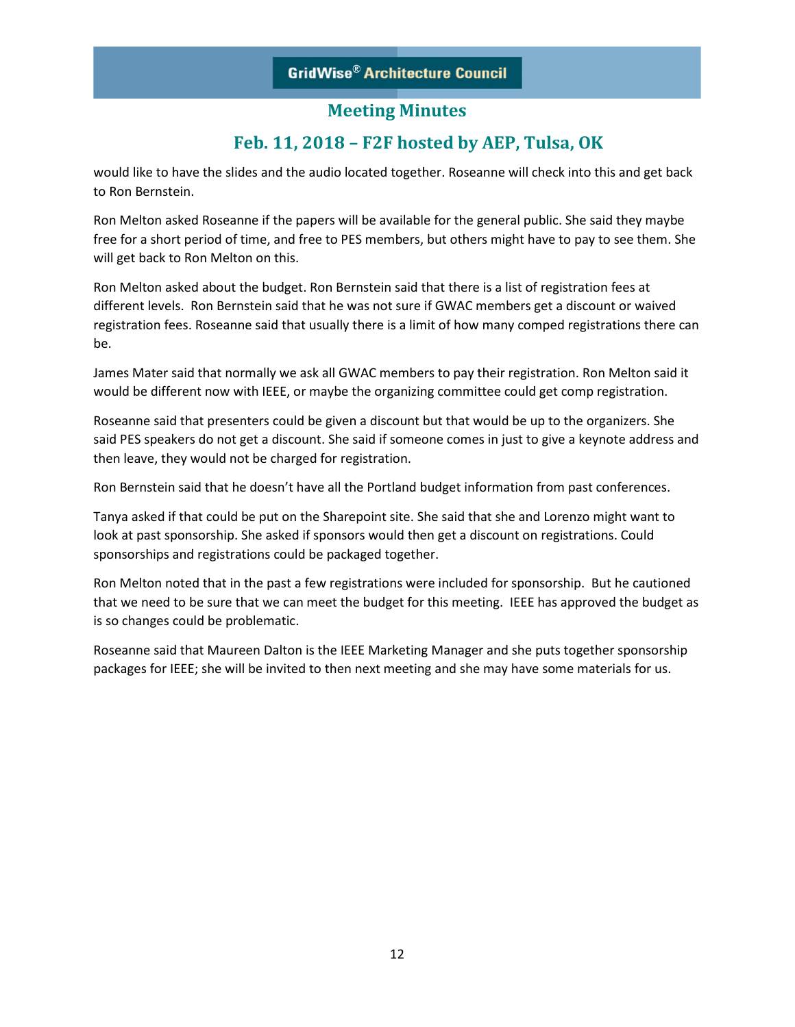# **Feb. 11, 2018 – F2F hosted by AEP, Tulsa, OK**

would like to have the slides and the audio located together. Roseanne will check into this and get back to Ron Bernstein.

Ron Melton asked Roseanne if the papers will be available for the general public. She said they maybe free for a short period of time, and free to PES members, but others might have to pay to see them. She will get back to Ron Melton on this.

Ron Melton asked about the budget. Ron Bernstein said that there is a list of registration fees at different levels. Ron Bernstein said that he was not sure if GWAC members get a discount or waived registration fees. Roseanne said that usually there is a limit of how many comped registrations there can be.

James Mater said that normally we ask all GWAC members to pay their registration. Ron Melton said it would be different now with IEEE, or maybe the organizing committee could get comp registration.

Roseanne said that presenters could be given a discount but that would be up to the organizers. She said PES speakers do not get a discount. She said if someone comes in just to give a keynote address and then leave, they would not be charged for registration.

Ron Bernstein said that he doesn't have all the Portland budget information from past conferences.

Tanya asked if that could be put on the Sharepoint site. She said that she and Lorenzo might want to look at past sponsorship. She asked if sponsors would then get a discount on registrations. Could sponsorships and registrations could be packaged together.

Ron Melton noted that in the past a few registrations were included for sponsorship. But he cautioned that we need to be sure that we can meet the budget for this meeting. IEEE has approved the budget as is so changes could be problematic.

Roseanne said that Maureen Dalton is the IEEE Marketing Manager and she puts together sponsorship packages for IEEE; she will be invited to then next meeting and she may have some materials for us.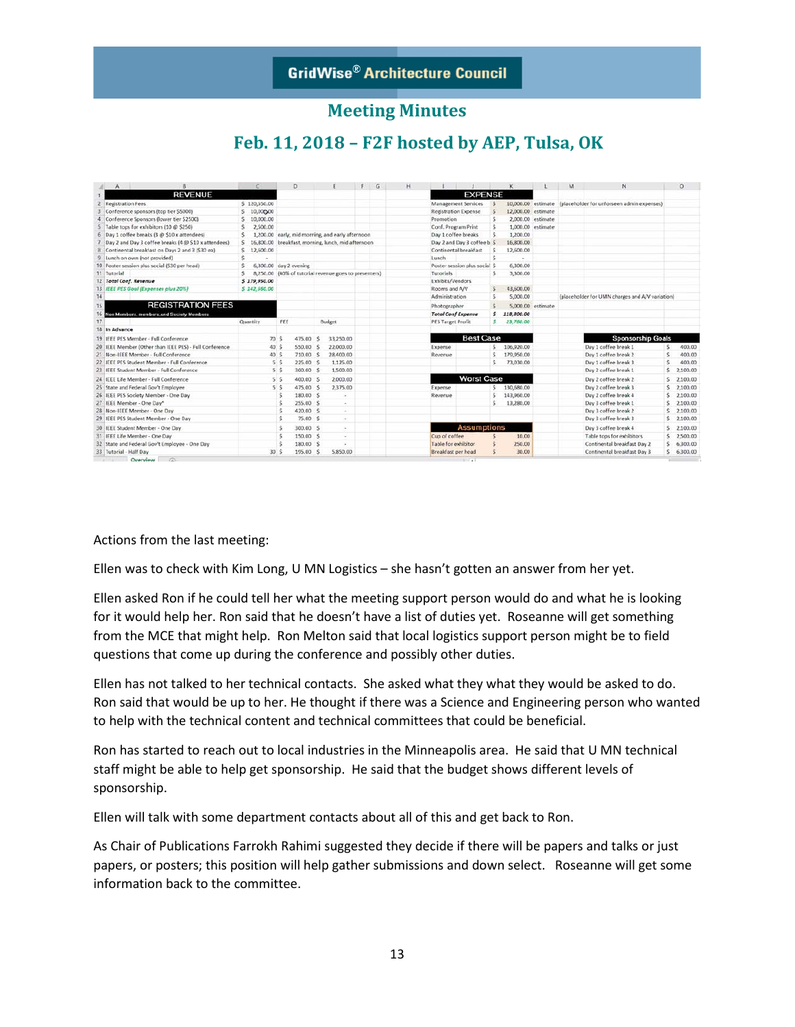# **Feb. 11, 2018 – F2F hosted by AEP, Tulsa, OK**

|    | R<br>$\mathbf{A}$                                      | C             | b                           |                                                       | F | G | н |                               |                    |    | K                  |                   | M | N                                                             |    | $\circ$       |
|----|--------------------------------------------------------|---------------|-----------------------------|-------------------------------------------------------|---|---|---|-------------------------------|--------------------|----|--------------------|-------------------|---|---------------------------------------------------------------|----|---------------|
|    | <b>REVENUE</b>                                         |               |                             |                                                       |   |   |   |                               | <b>EXPENSE</b>     |    |                    |                   |   |                                                               |    |               |
|    | <b>Registration Fees</b>                               | \$120,550.00  |                             |                                                       |   |   |   | Management Services           |                    |    |                    |                   |   | 10,000.00 estimate (placeholder for unforseen admin expenses) |    |               |
|    | Conference sponsors (top tier \$5000)                  | \$10,000,00   |                             |                                                       |   |   |   | <b>Registration Expense</b>   |                    |    | 12,000.00 estimate |                   |   |                                                               |    |               |
|    | Conference Sponsors (lower tier \$2500)                | 10,000.00     |                             |                                                       |   |   |   | Promotion                     |                    |    |                    | 2,000.00 estimate |   |                                                               |    |               |
|    | Table tops for exhibitors (10 @ \$250)                 | 2,500.00      |                             |                                                       |   |   |   | Conf. Program Print           |                    |    |                    | 1,000.00 estimate |   |                                                               |    |               |
| 6  | Day 1 coffee breaks (3 @ \$10 x attendees)             | s.            |                             | 1,200.00 early, mid morning, and early afternoon      |   |   |   | Day 1 coffee breaks           |                    | s  | 1,200.00           |                   |   |                                                               |    |               |
|    | Day 2 and Day 3 coffee breaks (4 @ \$10 x attendees)   | s.            |                             | 16,800.00 breakfast, morning, lunch, mid afternoon    |   |   |   | Day 2 and Day 3 coffee b S    |                    |    | 16,800.00          |                   |   |                                                               |    |               |
|    | Continental breakfast on Days 2 and 3 (\$30 ea)        | \$12,600.00   |                             |                                                       |   |   |   | Continental breakfast         |                    |    | 12,600.00          |                   |   |                                                               |    |               |
| 9  | Lunch on own (not provided)                            | s             |                             |                                                       |   |   |   | Lunch.                        |                    | s  |                    |                   |   |                                                               |    |               |
|    | 10 Poster session plus social (\$30 per head)          | s             | 6,300.00 day 2 evening      |                                                       |   |   |   | Poster session plus social \$ |                    |    | 6,300.00           |                   |   |                                                               |    |               |
|    | 11 Tutorial                                            | s             |                             | 8,250.00 (40% of tutorial revenue goes to presenters) |   |   |   | Tutorials                     |                    | ¢  | 3,300.00           |                   |   |                                                               |    |               |
|    | 12 Total Conf. Revenue                                 | \$179,950.00  |                             |                                                       |   |   |   | Exhibits/Vendors              |                    |    |                    |                   |   |                                                               |    |               |
|    | 13 IEEE PES Goal (Expenses plus 20%)                   | \$ 142,550.00 |                             |                                                       |   |   |   | Rooms and A/V                 |                    | s  | 43,600.00          |                   |   |                                                               |    |               |
| 14 |                                                        |               |                             |                                                       |   |   |   | Administration                |                    | s  | 5,000.00           |                   |   | (placeholder for UMN charges and A/V variation)               |    |               |
| 15 | <b>REGISTRATION FEES</b>                               |               |                             |                                                       |   |   |   | Photographer                  |                    |    |                    | 5,000.00 estimate |   |                                                               |    |               |
| 16 | Non Members, members and Society Members               |               |                             |                                                       |   |   |   | <b>Total Conf Expense</b>     |                    | s  | 118,800.00         |                   |   |                                                               |    |               |
| 17 |                                                        | Quantity      | FEE                         | Budget                                                |   |   |   | <b>PES Target Profit</b>      |                    | s  | 23,760.00          |                   |   |                                                               |    |               |
|    | 18 In Advance                                          |               |                             |                                                       |   |   |   |                               |                    |    |                    |                   |   |                                                               |    |               |
|    | 19 IFFE PES Member - Full Conference                   | 70 S          | 475.00                      | 33,250.00<br>-S                                       |   |   |   |                               | <b>Best Case</b>   |    |                    |                   |   | <b>Sponsorship Goals</b>                                      |    |               |
|    | 20 IEEE Member (Other than IEEE PES) - Full Conference | 40 S          | 550.00                      | 22,000.00<br>- 5                                      |   |   |   | Expense                       |                    | s. | 106,920.00         |                   |   | Day 1 coffee break 1                                          | S. | 400.00        |
| 21 | Non-IEEE Member - Full Conference                      | 40 S          | 710.00 S                    | 28,400.00                                             |   |   |   | Revenue                       |                    | s  | 179,950.00         |                   |   | Day 1 coffee break 2                                          |    | 400.00        |
|    | 22 IEEE PES Student Member - Full Conference           |               | 5S<br>225.00 \$             | 1.125.00                                              |   |   |   |                               |                    | Ŝ. | 73,030.00          |                   |   | Day 1 coffee break 3                                          |    | 400.00        |
|    | 23 IEEE Student Member - Full Conference               |               | 300.00 \$<br>5S             | 1,500.00                                              |   |   |   |                               |                    |    |                    |                   |   | Day 2 coffee break 1                                          |    | 52,100,00     |
|    | 24 IEEE Life Member - Full Conference                  |               | 400.00 S<br>5S              | 2,000.00                                              |   |   |   |                               | <b>Worst Case</b>  |    |                    |                   |   | Day 2 coffee break 2                                          |    | $S$ 2.100.00  |
|    | 25 State and Federal Gov't Employee                    |               | 5 <sup>5</sup><br>475.00 \$ | 2,375.00                                              |   |   |   | Expense                       |                    | s. | 130,680.00         |                   |   | Day 2 coffee break 3                                          |    | \$2,100.00    |
|    | 26 IEEE PES Society Member - One Day                   |               | 180.00 \$                   |                                                       |   |   |   | Revenue                       |                    |    | 143,960.00         |                   |   | Day 2 coffee break 4                                          |    | \$2,100.00    |
|    | 27 IEEE Member - One Day*                              |               | 255.00 \$                   | $\sim$                                                |   |   |   |                               |                    |    | 13,280.00          |                   |   | Day 3 coffee break 1                                          |    | \$2,100.00    |
|    | 28 Non-IEEE Member - One Day                           |               | 420.00 \$                   | $\sim$                                                |   |   |   |                               |                    |    |                    |                   |   | Day 3 coffee break 2                                          |    | $S$ 2,100.00  |
|    | 29 IEEE PES Student Member - One Day                   |               | 75.00 \$                    |                                                       |   |   |   |                               |                    |    |                    |                   |   | Day 3 coffee break 3                                          |    | 52,100,00     |
|    | 30 IEEE Student Member - One Day                       |               | 300.00 S                    |                                                       |   |   |   |                               | <b>Assumptions</b> |    |                    |                   |   | Day 3 coffee break 4                                          |    | 5.2.100.00    |
|    | 31 IEEE Life Member - One Day                          |               | 150.00 \$                   |                                                       |   |   |   | Cup of coffee                 |                    |    | 10.00              |                   |   | Table tops for exhibitors                                     |    | \$2,500.00    |
|    | 32 State and Federal Gov't Employee - One Day          |               | 180.00 \$                   |                                                       |   |   |   | Table for exhibitor           |                    |    | 250,00             |                   |   | Continental breakfast Day 2                                   |    | \$6,300.00    |
|    | 33 Tutorial - Half Day                                 | 30S           | 195.00 \$                   | 5,850.00                                              |   |   |   | Breakfast per head            |                    |    | 30.00              |                   |   | Continental breakfast Day 3                                   |    | 5, 6, 300, 00 |
|    | Overview (2)                                           |               |                             |                                                       |   |   |   | $\cdots$                      |                    |    |                    |                   |   |                                                               |    |               |

Actions from the last meeting:

Ellen was to check with Kim Long, U MN Logistics – she hasn't gotten an answer from her yet.

Ellen asked Ron if he could tell her what the meeting support person would do and what he is looking for it would help her. Ron said that he doesn't have a list of duties yet. Roseanne will get something from the MCE that might help. Ron Melton said that local logistics support person might be to field questions that come up during the conference and possibly other duties.

Ellen has not talked to her technical contacts. She asked what they what they would be asked to do. Ron said that would be up to her. He thought if there was a Science and Engineering person who wanted to help with the technical content and technical committees that could be beneficial.

Ron has started to reach out to local industries in the Minneapolis area. He said that U MN technical staff might be able to help get sponsorship. He said that the budget shows different levels of sponsorship.

Ellen will talk with some department contacts about all of this and get back to Ron.

As Chair of Publications Farrokh Rahimi suggested they decide if there will be papers and talks or just papers, or posters; this position will help gather submissions and down select. Roseanne will get some information back to the committee.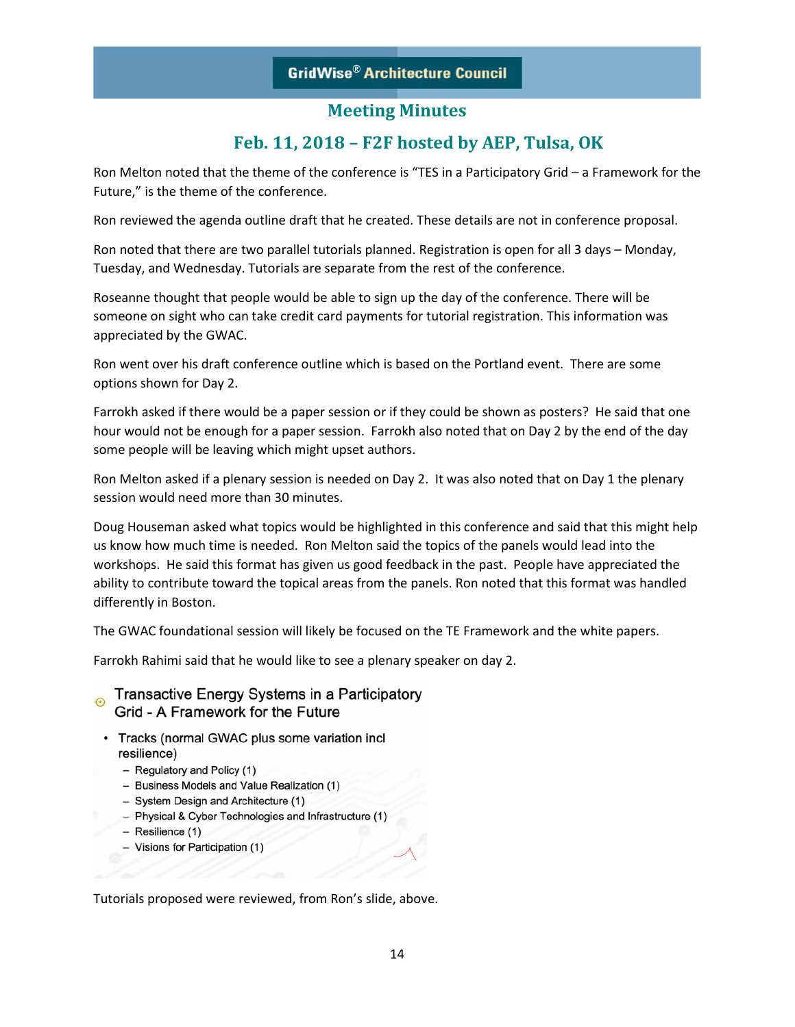## **Feb. 11, 2018 – F2F hosted by AEP, Tulsa, OK**

Ron Melton noted that the theme of the conference is "TES in a Participatory Grid – a Framework for the Future," is the theme of the conference.

Ron reviewed the agenda outline draft that he created. These details are not in conference proposal.

Ron noted that there are two parallel tutorials planned. Registration is open for all 3 days – Monday, Tuesday, and Wednesday. Tutorials are separate from the rest of the conference.

Roseanne thought that people would be able to sign up the day of the conference. There will be someone on sight who can take credit card payments for tutorial registration. This information was appreciated by the GWAC.

Ron went over his draft conference outline which is based on the Portland event. There are some options shown for Day 2.

Farrokh asked if there would be a paper session or if they could be shown as posters? He said that one hour would not be enough for a paper session. Farrokh also noted that on Day 2 by the end of the day some people will be leaving which might upset authors.

Ron Melton asked if a plenary session is needed on Day 2. It was also noted that on Day 1 the plenary session would need more than 30 minutes.

Doug Houseman asked what topics would be highlighted in this conference and said that this might help us know how much time is needed. Ron Melton said the topics of the panels would lead into the workshops. He said this format has given us good feedback in the past. People have appreciated the ability to contribute toward the topical areas from the panels. Ron noted that this format was handled differently in Boston.

The GWAC foundational session will likely be focused on the TE Framework and the white papers.

Farrokh Rahimi said that he would like to see a plenary speaker on day 2.

Transactive Energy Systems in a Participatory  $\odot$ Grid - A Framework for the Future

- Tracks (normal GWAC plus some variation incl resilience)
	- Regulatory and Policy (1)
	- Business Models and Value Realization (1)
	- System Design and Architecture (1)
	- Physical & Cyber Technologies and Infrastructure (1)
	- $-$  Resilience (1)
	- Visions for Participation (1)

Tutorials proposed were reviewed, from Ron's slide, above.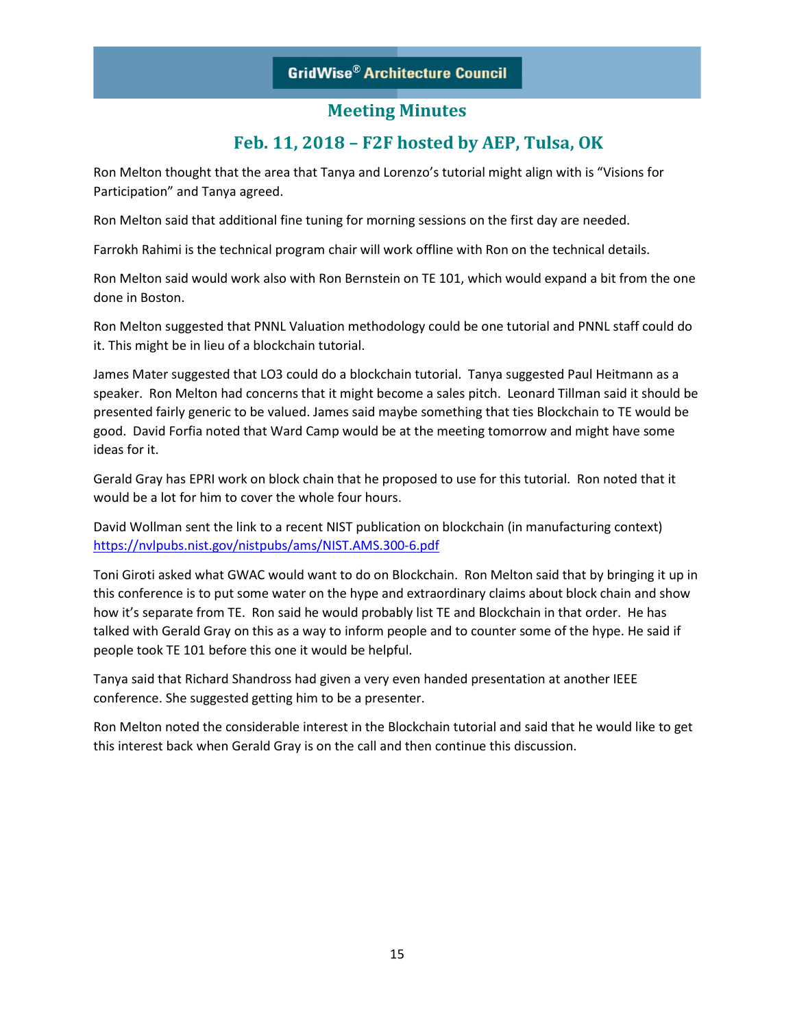## **Meeting Minutes**

## **Feb. 11, 2018 – F2F hosted by AEP, Tulsa, OK**

Ron Melton thought that the area that Tanya and Lorenzo's tutorial might align with is "Visions for Participation" and Tanya agreed.

Ron Melton said that additional fine tuning for morning sessions on the first day are needed.

Farrokh Rahimi is the technical program chair will work offline with Ron on the technical details.

Ron Melton said would work also with Ron Bernstein on TE 101, which would expand a bit from the one done in Boston.

Ron Melton suggested that PNNL Valuation methodology could be one tutorial and PNNL staff could do it. This might be in lieu of a blockchain tutorial.

James Mater suggested that LO3 could do a blockchain tutorial. Tanya suggested Paul Heitmann as a speaker. Ron Melton had concerns that it might become a sales pitch. Leonard Tillman said it should be presented fairly generic to be valued. James said maybe something that ties Blockchain to TE would be good. David Forfia noted that Ward Camp would be at the meeting tomorrow and might have some ideas for it.

Gerald Gray has EPRI work on block chain that he proposed to use for this tutorial. Ron noted that it would be a lot for him to cover the whole four hours.

David Wollman sent the link to a recent NIST publication on blockchain (in manufacturing context) <https://nvlpubs.nist.gov/nistpubs/ams/NIST.AMS.300-6.pdf>

Toni Giroti asked what GWAC would want to do on Blockchain. Ron Melton said that by bringing it up in this conference is to put some water on the hype and extraordinary claims about block chain and show how it's separate from TE. Ron said he would probably list TE and Blockchain in that order. He has talked with Gerald Gray on this as a way to inform people and to counter some of the hype. He said if people took TE 101 before this one it would be helpful.

Tanya said that Richard Shandross had given a very even handed presentation at another IEEE conference. She suggested getting him to be a presenter.

Ron Melton noted the considerable interest in the Blockchain tutorial and said that he would like to get this interest back when Gerald Gray is on the call and then continue this discussion.